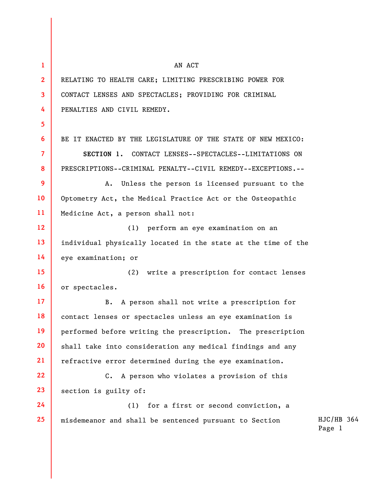| 1               | AN ACT                                                        |                      |  |
|-----------------|---------------------------------------------------------------|----------------------|--|
| $\overline{2}$  | RELATING TO HEALTH CARE; LIMITING PRESCRIBING POWER FOR       |                      |  |
| $\mathbf{3}$    | CONTACT LENSES AND SPECTACLES; PROVIDING FOR CRIMINAL         |                      |  |
| 4               | PENALTIES AND CIVIL REMEDY.                                   |                      |  |
| 5 <sup>5</sup>  |                                                               |                      |  |
| 6               | BE IT ENACTED BY THE LEGISLATURE OF THE STATE OF NEW MEXICO:  |                      |  |
| $\overline{7}$  | SECTION 1. CONTACT LENSES--SPECTACLES--LIMITATIONS ON         |                      |  |
| 8               | PRESCRIPTIONS--CRIMINAL PENALTY--CIVIL REMEDY--EXCEPTIONS.--  |                      |  |
| 9               | Unless the person is licensed pursuant to the<br>Α.           |                      |  |
| 10 <sup>°</sup> | Optometry Act, the Medical Practice Act or the Osteopathic    |                      |  |
| 11              | Medicine Act, a person shall not:                             |                      |  |
| 12 <sup>2</sup> | perform an eye examination on an<br>(1)                       |                      |  |
| 13              | individual physically located in the state at the time of the |                      |  |
| 14              | eye examination; or                                           |                      |  |
| 15 <sub>1</sub> | (2)<br>write a prescription for contact lenses                |                      |  |
| 16              | or spectacles.                                                |                      |  |
| 17 <sup>2</sup> | A person shall not write a prescription for<br><b>B.</b>      |                      |  |
| 18              | contact lenses or spectacles unless an eye examination is     |                      |  |
| 19              | performed before writing the prescription. The prescription   |                      |  |
| 20              | shall take into consideration any medical findings and any    |                      |  |
| 21              | refractive error determined during the eye examination.       |                      |  |
| 22              | C. A person who violates a provision of this                  |                      |  |
| 23              | section is guilty of:                                         |                      |  |
| 24              | for a first or second conviction, a<br>(1)                    |                      |  |
| 25              | misdemeanor and shall be sentenced pursuant to Section        | HJC/HB 364<br>Page 1 |  |
|                 |                                                               |                      |  |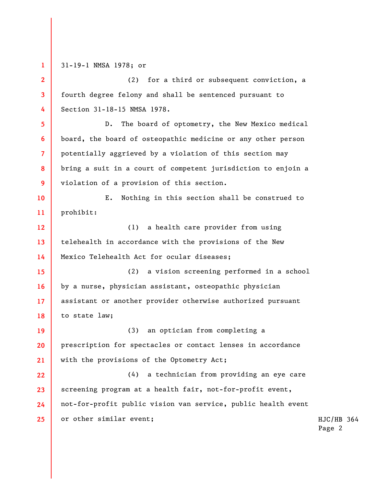**1 2 3 4 5 6 7 8 9 10 11 12 13 14 15 16 17 18 19 20 21 22 23 24 25**  31-19-1 NMSA 1978; or (2) for a third or subsequent conviction, a fourth degree felony and shall be sentenced pursuant to Section 31-18-15 NMSA 1978. D. The board of optometry, the New Mexico medical board, the board of osteopathic medicine or any other person potentially aggrieved by a violation of this section may bring a suit in a court of competent jurisdiction to enjoin a violation of a provision of this section. E. Nothing in this section shall be construed to prohibit: (1) a health care provider from using telehealth in accordance with the provisions of the New Mexico Telehealth Act for ocular diseases; (2) a vision screening performed in a school by a nurse, physician assistant, osteopathic physician assistant or another provider otherwise authorized pursuant to state law; (3) an optician from completing a prescription for spectacles or contact lenses in accordance with the provisions of the Optometry Act; (4) a technician from providing an eye care screening program at a health fair, not-for-profit event, not-for-profit public vision van service, public health event or other similar event;

HJC/HB 364 Page 2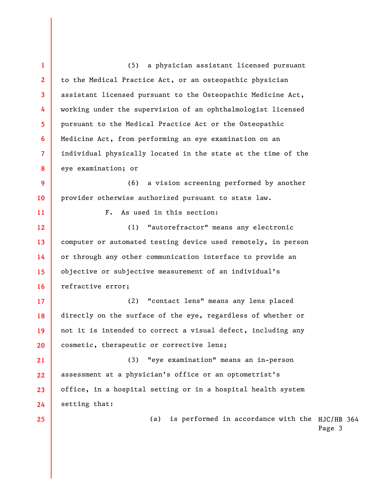(a) is performed in accordance with the  $HJC/HB 364$ Page 3 **1 2 3 4 5 6 7 8 9 10 11 12 13 14 15 16 17 18 19 20 21 22 23 24 25**  (5) a physician assistant licensed pursuant to the Medical Practice Act, or an osteopathic physician assistant licensed pursuant to the Osteopathic Medicine Act, working under the supervision of an ophthalmologist licensed pursuant to the Medical Practice Act or the Osteopathic Medicine Act, from performing an eye examination on an individual physically located in the state at the time of the eye examination; or (6) a vision screening performed by another provider otherwise authorized pursuant to state law. F. As used in this section: (1) "autorefractor" means any electronic computer or automated testing device used remotely, in person or through any other communication interface to provide an objective or subjective measurement of an individual's refractive error; (2) "contact lens" means any lens placed directly on the surface of the eye, regardless of whether or not it is intended to correct a visual defect, including any cosmetic, therapeutic or corrective lens; (3) "eye examination" means an in-person assessment at a physician's office or an optometrist's office, in a hospital setting or in a hospital health system setting that: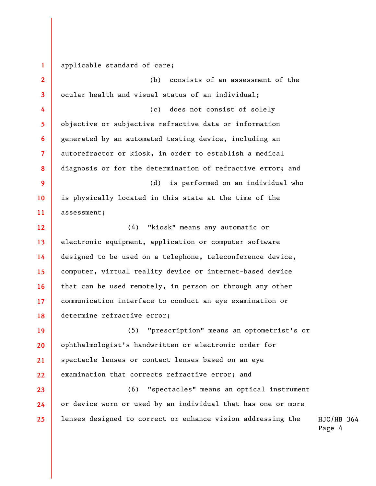**1**  applicable standard of care;

**2 3 4 5 6 7 8 9 10 11 12 13 14 15 16 17 18 19 20 21 22 23 24 25**  (b) consists of an assessment of the ocular health and visual status of an individual; (c) does not consist of solely objective or subjective refractive data or information generated by an automated testing device, including an autorefractor or kiosk, in order to establish a medical diagnosis or for the determination of refractive error; and (d) is performed on an individual who is physically located in this state at the time of the assessment; (4) "kiosk" means any automatic or electronic equipment, application or computer software designed to be used on a telephone, teleconference device, computer, virtual reality device or internet-based device that can be used remotely, in person or through any other communication interface to conduct an eye examination or determine refractive error; (5) "prescription" means an optometrist's or ophthalmologist's handwritten or electronic order for spectacle lenses or contact lenses based on an eye examination that corrects refractive error; and (6) "spectacles" means an optical instrument or device worn or used by an individual that has one or more lenses designed to correct or enhance vision addressing the

HJC/HB 364 Page 4